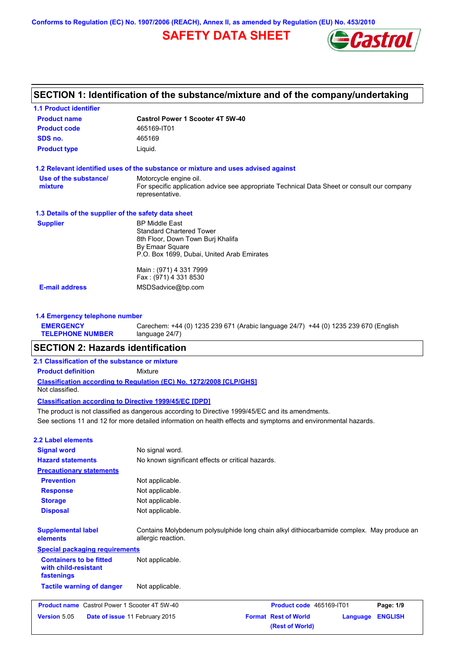**Conforms to Regulation (EC) No. 1907/2006 (REACH), Annex II, as amended by Regulation (EU) No. 453/2010**

# **SAFETY DATA SHEET**



| <b>1.1 Product identifier</b>                        |                                                                                                                |  |
|------------------------------------------------------|----------------------------------------------------------------------------------------------------------------|--|
| <b>Product name</b>                                  | <b>Castrol Power 1 Scooter 4T 5W-40</b>                                                                        |  |
| <b>Product code</b>                                  | 465169-IT01                                                                                                    |  |
| SDS no.                                              | 465169                                                                                                         |  |
| <b>Product type</b>                                  | Liquid.                                                                                                        |  |
|                                                      | 1.2 Relevant identified uses of the substance or mixture and uses advised against                              |  |
| Use of the substance/                                | Motorcycle engine oil.                                                                                         |  |
| mixture                                              | For specific application advice see appropriate Technical Data Sheet or consult our company<br>representative. |  |
| 1.3 Details of the supplier of the safety data sheet |                                                                                                                |  |
| <b>Supplier</b>                                      | <b>BP Middle East</b>                                                                                          |  |
|                                                      | <b>Standard Chartered Tower</b>                                                                                |  |
|                                                      | 8th Floor, Down Town Burj Khalifa                                                                              |  |
|                                                      | By Emaar Square<br>P.O. Box 1699, Dubai, United Arab Emirates                                                  |  |
|                                                      |                                                                                                                |  |
|                                                      | Main: (971) 4 331 7999                                                                                         |  |
|                                                      | Fax: (971) 4 331 8530                                                                                          |  |
| <b>E-mail address</b>                                | MSDSadvice@bp.com                                                                                              |  |

Carechem: +44 (0) 1235 239 671 (Arabic language 24/7) +44 (0) 1235 239 670 (English

#### **TELEPHONE NUMBER** language 24/7)

# **SECTION 2: Hazards identification**

### **2.1 Classification of the substance or mixture**

**Product definition** Mixture

**Classification according to Regulation (EC) No. 1272/2008 [CLP/GHS]** Not classified.

## **Classification according to Directive 1999/45/EC [DPD]**

See sections 11 and 12 for more detailed information on health effects and symptoms and environmental hazards. The product is not classified as dangerous according to Directive 1999/45/EC and its amendments.

# **2.2 Label elements**

**EMERGENCY** 

| <b>Signal word</b>                                                   | No signal word.                                                                                                 |                                                |          |                |
|----------------------------------------------------------------------|-----------------------------------------------------------------------------------------------------------------|------------------------------------------------|----------|----------------|
| <b>Hazard statements</b>                                             | No known significant effects or critical hazards.                                                               |                                                |          |                |
| <b>Precautionary statements</b>                                      |                                                                                                                 |                                                |          |                |
| <b>Prevention</b>                                                    | Not applicable.                                                                                                 |                                                |          |                |
| <b>Response</b>                                                      | Not applicable.                                                                                                 |                                                |          |                |
| <b>Storage</b>                                                       | Not applicable.                                                                                                 |                                                |          |                |
| <b>Disposal</b>                                                      | Not applicable.                                                                                                 |                                                |          |                |
| <b>Supplemental label</b><br>elements                                | Contains Molybdenum polysulphide long chain alkyl dithiocarbamide complex. May produce an<br>allergic reaction. |                                                |          |                |
| <b>Special packaging requirements</b>                                |                                                                                                                 |                                                |          |                |
| <b>Containers to be fitted</b><br>with child-resistant<br>fastenings | Not applicable.                                                                                                 |                                                |          |                |
| <b>Tactile warning of danger</b>                                     | Not applicable.                                                                                                 |                                                |          |                |
| <b>Product name</b> Castrol Power 1 Scooter 4T 5W-40                 |                                                                                                                 | Product code 465169-IT01                       |          | Page: 1/9      |
| Version 5.05<br>Date of issue 11 February 2015                       |                                                                                                                 | <b>Format Rest of World</b><br>(Rest of World) | Language | <b>ENGLISH</b> |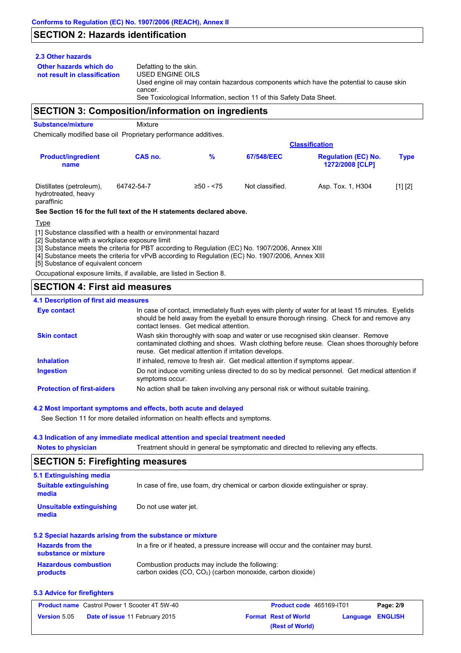# **SECTION 2: Hazards identification**

## **2.3 Other hazards**

**Other hazards which do** 

**not result in classification** Defatting to the skin. USED ENGINE OILS Used engine oil may contain hazardous components which have the potential to cause skin cancer. See Toxicological Information, section 11 of this Safety Data Sheet.

# **SECTION 3: Composition/information on ingredients**

**Substance/mixture** Mixture

Chemically modified base oil Proprietary performance additives.

|                                                               |            |             |                 | <b>Classification</b>                                |             |  |
|---------------------------------------------------------------|------------|-------------|-----------------|------------------------------------------------------|-------------|--|
| <b>Product/ingredient</b><br>name                             | CAS no.    | %           | 67/548/EEC      | <b>Regulation (EC) No.</b><br><b>1272/2008 [CLP]</b> | <b>Type</b> |  |
| Distillates (petroleum),<br>hydrotreated, heavy<br>paraffinic | 64742-54-7 | $≥50 - 575$ | Not classified. | Asp. Tox. 1, H304                                    | [1] [2]     |  |

### **See Section 16 for the full text of the H statements declared above.**

Type

[1] Substance classified with a health or environmental hazard

[2] Substance with a workplace exposure limit

[3] Substance meets the criteria for PBT according to Regulation (EC) No. 1907/2006, Annex XIII

[4] Substance meets the criteria for vPvB according to Regulation (EC) No. 1907/2006, Annex XIII

[5] Substance of equivalent concern

Occupational exposure limits, if available, are listed in Section 8.

# **SECTION 4: First aid measures**

## **4.1 Description of first aid measures**

| <b>Eye contact</b>                | In case of contact, immediately flush eyes with plenty of water for at least 15 minutes. Eyelids<br>should be held away from the eyeball to ensure thorough rinsing. Check for and remove any<br>contact lenses. Get medical attention. |
|-----------------------------------|-----------------------------------------------------------------------------------------------------------------------------------------------------------------------------------------------------------------------------------------|
| <b>Skin contact</b>               | Wash skin thoroughly with soap and water or use recognised skin cleanser. Remove<br>contaminated clothing and shoes. Wash clothing before reuse. Clean shoes thoroughly before<br>reuse. Get medical attention if irritation develops.  |
| <b>Inhalation</b>                 | If inhaled, remove to fresh air. Get medical attention if symptoms appear.                                                                                                                                                              |
| <b>Ingestion</b>                  | Do not induce vomiting unless directed to do so by medical personnel. Get medical attention if<br>symptoms occur.                                                                                                                       |
| <b>Protection of first-aiders</b> | No action shall be taken involving any personal risk or without suitable training.                                                                                                                                                      |

## **4.2 Most important symptoms and effects, both acute and delayed**

See Section 11 for more detailed information on health effects and symptoms.

## **4.3 Indication of any immediate medical attention and special treatment needed**

**Notes to physician** Treatment should in general be symptomatic and directed to relieving any effects.

# **SECTION 5: Firefighting measures**

| 5.1 Extinguishing media                         |                                                                                     |
|-------------------------------------------------|-------------------------------------------------------------------------------------|
| <b>Suitable extinguishing</b><br>media          | In case of fire, use foam, dry chemical or carbon dioxide extinguisher or spray.    |
| Unsuitable extinguishing<br>media               | Do not use water jet.                                                               |
|                                                 | 5.2 Special hazards arising from the substance or mixture                           |
| <b>Hazards from the</b><br>substance or mixture | In a fire or if heated, a pressure increase will occur and the container may burst. |
| Hazardous combustion                            | Combustion products may include the following:                                      |

#### **Hazardous combustion products** Combustion products may include the following: carbon oxides (CO, CO2) (carbon monoxide, carbon dioxide)

## **5.3 Advice for firefighters**

| <b>Product name</b> Castrol Power 1 Scooter 4T 5W-40 |                                       | <b>Product code</b> 465169-IT01 |                             | Page: 2/9        |  |
|------------------------------------------------------|---------------------------------------|---------------------------------|-----------------------------|------------------|--|
| <b>Version 5.05</b>                                  | <b>Date of issue 11 February 2015</b> |                                 | <b>Format Rest of World</b> | Language ENGLISH |  |
|                                                      |                                       |                                 | (Rest of World)             |                  |  |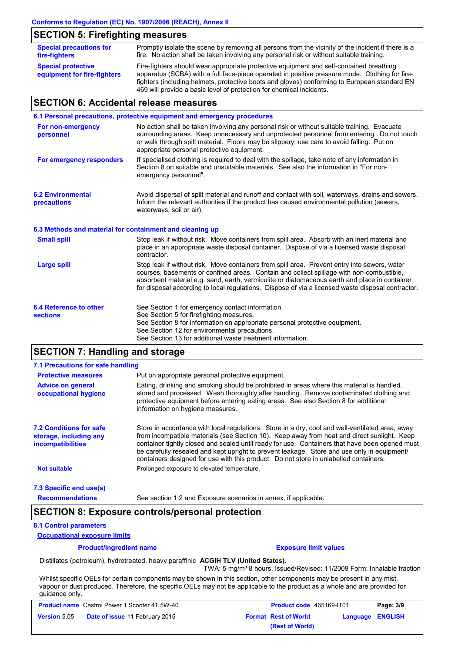# **SECTION 5: Firefighting measures**

| <b>Special precautions for</b><br>fire-fighters          | Promptly isolate the scene by removing all persons from the vicinity of the incident if there is a<br>fire. No action shall be taken involving any personal risk or without suitable training.                                                                                            |
|----------------------------------------------------------|-------------------------------------------------------------------------------------------------------------------------------------------------------------------------------------------------------------------------------------------------------------------------------------------|
| <b>Special protective</b><br>equipment for fire-fighters | Fire-fighters should wear appropriate protective equipment and self-contained breathing<br>apparatus (SCBA) with a full face-piece operated in positive pressure mode. Clothing for fire-<br>fighters (including helmets, protective boots and gloves) conforming to European standard EN |
|                                                          | 469 will provide a basic level of protection for chemical incidents.                                                                                                                                                                                                                      |

# **SECTION 6: Accidental release measures**

|                                                          | 6.1 Personal precautions, protective equipment and emergency procedures                                                                                                                                                                                                                                                                                                                        |
|----------------------------------------------------------|------------------------------------------------------------------------------------------------------------------------------------------------------------------------------------------------------------------------------------------------------------------------------------------------------------------------------------------------------------------------------------------------|
| For non-emergency<br>personnel                           | No action shall be taken involving any personal risk or without suitable training. Evacuate<br>surrounding areas. Keep unnecessary and unprotected personnel from entering. Do not touch<br>or walk through spilt material. Floors may be slippery; use care to avoid falling. Put on<br>appropriate personal protective equipment.                                                            |
| For emergency responders                                 | If specialised clothing is required to deal with the spillage, take note of any information in<br>Section 8 on suitable and unsuitable materials. See also the information in "For non-<br>emergency personnel".                                                                                                                                                                               |
| <b>6.2 Environmental</b><br>precautions                  | Avoid dispersal of spilt material and runoff and contact with soil, waterways, drains and sewers.<br>Inform the relevant authorities if the product has caused environmental pollution (sewers,<br>waterways, soil or air).                                                                                                                                                                    |
| 6.3 Methods and material for containment and cleaning up |                                                                                                                                                                                                                                                                                                                                                                                                |
| <b>Small spill</b>                                       | Stop leak if without risk. Move containers from spill area. Absorb with an inert material and<br>place in an appropriate waste disposal container. Dispose of via a licensed waste disposal<br>contractor.                                                                                                                                                                                     |
| <b>Large spill</b>                                       | Stop leak if without risk. Move containers from spill area. Prevent entry into sewers, water<br>courses, basements or confined areas. Contain and collect spillage with non-combustible,<br>absorbent material e.g. sand, earth, vermiculite or diatomaceous earth and place in container<br>for disposal according to local regulations. Dispose of via a licensed waste disposal contractor. |
| 6.4 Reference to other<br><b>sections</b>                | See Section 1 for emergency contact information.<br>See Section 5 for firefighting measures.<br>See Section 8 for information on appropriate personal protective equipment.<br>See Section 12 for environmental precautions.<br>See Section 13 for additional waste treatment information.                                                                                                     |

# **SECTION 7: Handling and storage**

| 7.1 Precautions for safe handling                                                    |                                                                                                                                                                                                                                                                                                                                                                                                                                                                                          |  |
|--------------------------------------------------------------------------------------|------------------------------------------------------------------------------------------------------------------------------------------------------------------------------------------------------------------------------------------------------------------------------------------------------------------------------------------------------------------------------------------------------------------------------------------------------------------------------------------|--|
| <b>Protective measures</b><br>Put on appropriate personal protective equipment.      |                                                                                                                                                                                                                                                                                                                                                                                                                                                                                          |  |
| <b>Advice on general</b><br>occupational hygiene                                     | Eating, drinking and smoking should be prohibited in areas where this material is handled,<br>stored and processed. Wash thoroughly after handling. Remove contaminated clothing and<br>protective equipment before entering eating areas. See also Section 8 for additional<br>information on hygiene measures.                                                                                                                                                                         |  |
| <b>7.2 Conditions for safe</b><br>storage, including any<br><i>incompatibilities</i> | Store in accordance with local requiations. Store in a dry, cool and well-ventilated area, away<br>from incompatible materials (see Section 10). Keep away from heat and direct sunlight. Keep<br>container tightly closed and sealed until ready for use. Containers that have been opened must<br>be carefully resealed and kept upright to prevent leakage. Store and use only in equipment/<br>containers designed for use with this product. Do not store in unlabelled containers. |  |
| <b>Not suitable</b>                                                                  | Prolonged exposure to elevated temperature.                                                                                                                                                                                                                                                                                                                                                                                                                                              |  |
| 7.3 Specific end use(s)                                                              |                                                                                                                                                                                                                                                                                                                                                                                                                                                                                          |  |

**Recommendations**

### See section 1.2 and Exposure scenarios in annex, if applicable.

# **SECTION 8: Exposure controls/personal protection**

## **8.1 Control parameters**

**Occupational exposure limits**

| <b>Product/ingredient name</b> | <b>Exposure limit values</b> |
|--------------------------------|------------------------------|
|                                |                              |

Distillates (petroleum), hydrotreated, heavy paraffinic **ACGIH TLV (United States).**

TWA: 5 mg/m<sup>3</sup> 8 hours. Issued/Revised: 11/2009 Form: Inhalable fraction Whilst specific OELs for certain components may be shown in this section, other components may be present in any mist,

vapour or dust produced. Therefore, the specific OELs may not be applicable to the product as a whole and are provided for guidance only.

| <b>Product name</b> Castrol Power 1 Scooter 4T 5W-40 |                                       | <b>Product code</b> 465169-IT01 | Page: 3/9               |
|------------------------------------------------------|---------------------------------------|---------------------------------|-------------------------|
| <b>Version 5.05</b>                                  | <b>Date of issue 11 February 2015</b> | <b>Format Rest of World</b>     | <b>Language ENGLISH</b> |
|                                                      |                                       | (Rest of World)                 |                         |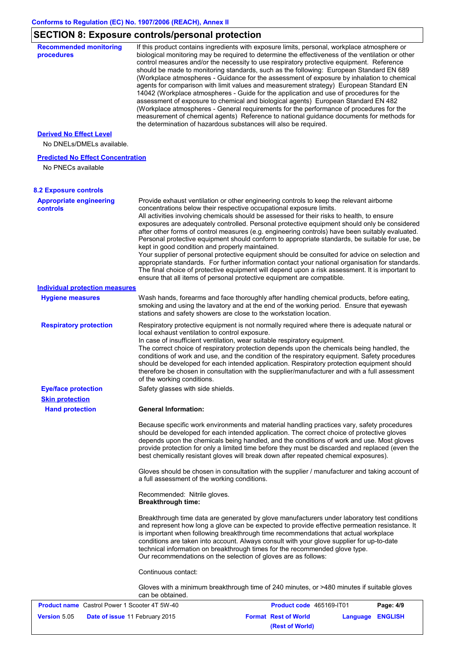# **SECTION 8: Exposure controls/personal protection**

| <b>Recommended monitoring</b><br>procedures          | If this product contains ingredients with exposure limits, personal, workplace atmosphere or<br>biological monitoring may be required to determine the effectiveness of the ventilation or other<br>control measures and/or the necessity to use respiratory protective equipment. Reference<br>should be made to monitoring standards, such as the following: European Standard EN 689<br>(Workplace atmospheres - Guidance for the assessment of exposure by inhalation to chemical<br>agents for comparison with limit values and measurement strategy) European Standard EN<br>14042 (Workplace atmospheres - Guide for the application and use of procedures for the<br>assessment of exposure to chemical and biological agents) European Standard EN 482<br>(Workplace atmospheres - General requirements for the performance of procedures for the<br>measurement of chemical agents) Reference to national guidance documents for methods for<br>the determination of hazardous substances will also be required. |
|------------------------------------------------------|----------------------------------------------------------------------------------------------------------------------------------------------------------------------------------------------------------------------------------------------------------------------------------------------------------------------------------------------------------------------------------------------------------------------------------------------------------------------------------------------------------------------------------------------------------------------------------------------------------------------------------------------------------------------------------------------------------------------------------------------------------------------------------------------------------------------------------------------------------------------------------------------------------------------------------------------------------------------------------------------------------------------------|
| <b>Derived No Effect Level</b>                       |                                                                                                                                                                                                                                                                                                                                                                                                                                                                                                                                                                                                                                                                                                                                                                                                                                                                                                                                                                                                                            |
| No DNELs/DMELs available.                            |                                                                                                                                                                                                                                                                                                                                                                                                                                                                                                                                                                                                                                                                                                                                                                                                                                                                                                                                                                                                                            |
| <b>Predicted No Effect Concentration</b>             |                                                                                                                                                                                                                                                                                                                                                                                                                                                                                                                                                                                                                                                                                                                                                                                                                                                                                                                                                                                                                            |
| No PNECs available                                   |                                                                                                                                                                                                                                                                                                                                                                                                                                                                                                                                                                                                                                                                                                                                                                                                                                                                                                                                                                                                                            |
| <b>8.2 Exposure controls</b>                         |                                                                                                                                                                                                                                                                                                                                                                                                                                                                                                                                                                                                                                                                                                                                                                                                                                                                                                                                                                                                                            |
| <b>Appropriate engineering</b>                       | Provide exhaust ventilation or other engineering controls to keep the relevant airborne                                                                                                                                                                                                                                                                                                                                                                                                                                                                                                                                                                                                                                                                                                                                                                                                                                                                                                                                    |
| <b>controls</b>                                      | concentrations below their respective occupational exposure limits.<br>All activities involving chemicals should be assessed for their risks to health, to ensure<br>exposures are adequately controlled. Personal protective equipment should only be considered<br>after other forms of control measures (e.g. engineering controls) have been suitably evaluated.<br>Personal protective equipment should conform to appropriate standards, be suitable for use, be<br>kept in good condition and properly maintained.<br>Your supplier of personal protective equipment should be consulted for advice on selection and<br>appropriate standards. For further information contact your national organisation for standards.<br>The final choice of protective equipment will depend upon a risk assessment. It is important to<br>ensure that all items of personal protective equipment are compatible.                                                                                                               |
| <b>Individual protection measures</b>                |                                                                                                                                                                                                                                                                                                                                                                                                                                                                                                                                                                                                                                                                                                                                                                                                                                                                                                                                                                                                                            |
| <b>Hygiene measures</b>                              | Wash hands, forearms and face thoroughly after handling chemical products, before eating,<br>smoking and using the lavatory and at the end of the working period. Ensure that eyewash<br>stations and safety showers are close to the workstation location.                                                                                                                                                                                                                                                                                                                                                                                                                                                                                                                                                                                                                                                                                                                                                                |
| <b>Respiratory protection</b>                        | Respiratory protective equipment is not normally required where there is adequate natural or<br>local exhaust ventilation to control exposure.<br>In case of insufficient ventilation, wear suitable respiratory equipment.<br>The correct choice of respiratory protection depends upon the chemicals being handled, the<br>conditions of work and use, and the condition of the respiratory equipment. Safety procedures<br>should be developed for each intended application. Respiratory protection equipment should<br>therefore be chosen in consultation with the supplier/manufacturer and with a full assessment<br>of the working conditions.                                                                                                                                                                                                                                                                                                                                                                    |
| <b>Eye/face protection</b>                           | Safety glasses with side shields.                                                                                                                                                                                                                                                                                                                                                                                                                                                                                                                                                                                                                                                                                                                                                                                                                                                                                                                                                                                          |
| <b>Skin protection</b>                               |                                                                                                                                                                                                                                                                                                                                                                                                                                                                                                                                                                                                                                                                                                                                                                                                                                                                                                                                                                                                                            |
| <b>Hand protection</b>                               | <b>General Information:</b>                                                                                                                                                                                                                                                                                                                                                                                                                                                                                                                                                                                                                                                                                                                                                                                                                                                                                                                                                                                                |
|                                                      | Because specific work environments and material handling practices vary, safety procedures<br>should be developed for each intended application. The correct choice of protective gloves<br>depends upon the chemicals being handled, and the conditions of work and use. Most gloves<br>provide protection for only a limited time before they must be discarded and replaced (even the<br>best chemically resistant gloves will break down after repeated chemical exposures).                                                                                                                                                                                                                                                                                                                                                                                                                                                                                                                                           |
|                                                      | Gloves should be chosen in consultation with the supplier / manufacturer and taking account of<br>a full assessment of the working conditions.                                                                                                                                                                                                                                                                                                                                                                                                                                                                                                                                                                                                                                                                                                                                                                                                                                                                             |
|                                                      | Recommended: Nitrile gloves.<br><b>Breakthrough time:</b>                                                                                                                                                                                                                                                                                                                                                                                                                                                                                                                                                                                                                                                                                                                                                                                                                                                                                                                                                                  |
|                                                      | Breakthrough time data are generated by glove manufacturers under laboratory test conditions<br>and represent how long a glove can be expected to provide effective permeation resistance. It<br>is important when following breakthrough time recommendations that actual workplace<br>conditions are taken into account. Always consult with your glove supplier for up-to-date<br>technical information on breakthrough times for the recommended glove type.<br>Our recommendations on the selection of gloves are as follows:                                                                                                                                                                                                                                                                                                                                                                                                                                                                                         |
|                                                      | Continuous contact:                                                                                                                                                                                                                                                                                                                                                                                                                                                                                                                                                                                                                                                                                                                                                                                                                                                                                                                                                                                                        |
|                                                      | Gloves with a minimum breakthrough time of 240 minutes, or >480 minutes if suitable gloves<br>can be obtained.                                                                                                                                                                                                                                                                                                                                                                                                                                                                                                                                                                                                                                                                                                                                                                                                                                                                                                             |
| <b>Product name</b> Castrol Power 1 Scooter 4T 5W-40 | Product code 465169-IT01<br>Page: 4/9                                                                                                                                                                                                                                                                                                                                                                                                                                                                                                                                                                                                                                                                                                                                                                                                                                                                                                                                                                                      |
| <b>Version 5.05</b>                                  | Date of issue 11 February 2015<br><b>Format Rest of World</b><br>Language ENGLISH                                                                                                                                                                                                                                                                                                                                                                                                                                                                                                                                                                                                                                                                                                                                                                                                                                                                                                                                          |

**(Rest of World)**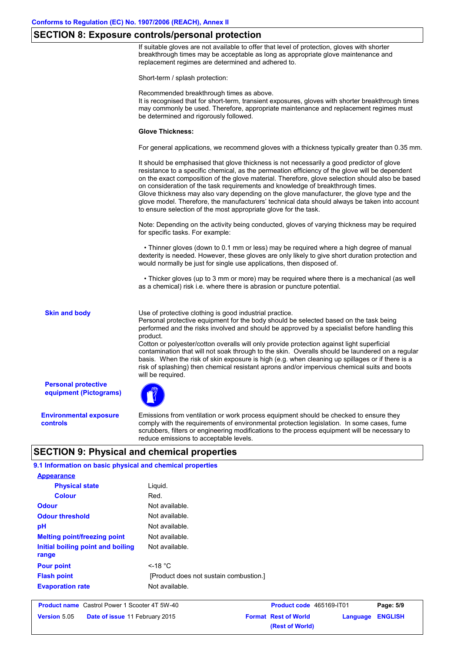# **SECTION 8: Exposure controls/personal protection**

If suitable gloves are not available to offer that level of protection, gloves with shorter breakthrough times may be acceptable as long as appropriate glove maintenance and replacement regimes are determined and adhered to.

Short-term / splash protection:

Recommended breakthrough times as above.

It is recognised that for short-term, transient exposures, gloves with shorter breakthrough times may commonly be used. Therefore, appropriate maintenance and replacement regimes must be determined and rigorously followed.

#### **Glove Thickness:**

For general applications, we recommend gloves with a thickness typically greater than 0.35 mm.

It should be emphasised that glove thickness is not necessarily a good predictor of glove resistance to a specific chemical, as the permeation efficiency of the glove will be dependent on the exact composition of the glove material. Therefore, glove selection should also be based on consideration of the task requirements and knowledge of breakthrough times. Glove thickness may also vary depending on the glove manufacturer, the glove type and the glove model. Therefore, the manufacturers' technical data should always be taken into account to ensure selection of the most appropriate glove for the task.

Note: Depending on the activity being conducted, gloves of varying thickness may be required for specific tasks. For example:

 • Thinner gloves (down to 0.1 mm or less) may be required where a high degree of manual dexterity is needed. However, these gloves are only likely to give short duration protection and would normally be just for single use applications, then disposed of.

 • Thicker gloves (up to 3 mm or more) may be required where there is a mechanical (as well as a chemical) risk i.e. where there is abrasion or puncture potential.

**Skin and body**

Use of protective clothing is good industrial practice.

Personal protective equipment for the body should be selected based on the task being performed and the risks involved and should be approved by a specialist before handling this product.

Cotton or polyester/cotton overalls will only provide protection against light superficial contamination that will not soak through to the skin. Overalls should be laundered on a regular basis. When the risk of skin exposure is high (e.g. when cleaning up spillages or if there is a risk of splashing) then chemical resistant aprons and/or impervious chemical suits and boots will be required.

**Personal protective equipment (Pictograms)**

**Environmental exposure controls**

Emissions from ventilation or work process equipment should be checked to ensure they comply with the requirements of environmental protection legislation. In some cases, fume scrubbers, filters or engineering modifications to the process equipment will be necessary to reduce emissions to acceptable levels.

**(Rest of World)**

# **SECTION 9: Physical and chemical properties**

| 9.1 Information on basic physical and chemical properties    |                |                             |          |                |
|--------------------------------------------------------------|----------------|-----------------------------|----------|----------------|
| <b>Appearance</b>                                            |                |                             |          |                |
| <b>Physical state</b>                                        | Liquid.        |                             |          |                |
| <b>Colour</b>                                                | Red.           |                             |          |                |
| <b>Odour</b>                                                 | Not available. |                             |          |                |
| <b>Odour threshold</b>                                       |                |                             |          |                |
| pH                                                           | Not available. |                             |          |                |
| <b>Melting point/freezing point</b>                          | Not available. |                             |          |                |
| Initial boiling point and boiling<br>range                   | Not available. |                             |          |                |
| <b>Pour point</b>                                            | $<$ -18 °C     |                             |          |                |
| <b>Flash point</b><br>[Product does not sustain combustion.] |                |                             |          |                |
| <b>Evaporation rate</b>                                      | Not available. |                             |          |                |
| <b>Product name</b> Castrol Power 1 Scooter 4T 5W-40         |                | Product code 465169-IT01    |          | Page: 5/9      |
| Version 5.05<br>Date of issue 11 February 2015               |                | <b>Format Rest of World</b> | Language | <b>ENGLISH</b> |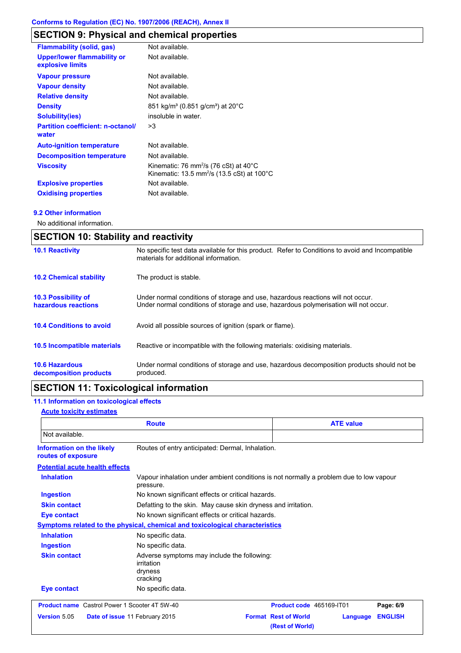# **SECTION 9: Physical and chemical properties**

| <b>Flammability (solid, gas)</b>                       | Not available.                                                                                                                   |
|--------------------------------------------------------|----------------------------------------------------------------------------------------------------------------------------------|
| <b>Upper/lower flammability or</b><br>explosive limits | Not available.                                                                                                                   |
| <b>Vapour pressure</b>                                 | Not available.                                                                                                                   |
| <b>Vapour density</b>                                  | Not available.                                                                                                                   |
| <b>Relative density</b>                                | Not available.                                                                                                                   |
| <b>Density</b>                                         | 851 kg/m <sup>3</sup> (0.851 g/cm <sup>3</sup> ) at 20°C                                                                         |
| <b>Solubility(ies)</b>                                 | insoluble in water.                                                                                                              |
| <b>Partition coefficient: n-octanol/</b><br>water      | >3                                                                                                                               |
| <b>Auto-ignition temperature</b>                       | Not available.                                                                                                                   |
| <b>Decomposition temperature</b>                       | Not available.                                                                                                                   |
| <b>Viscosity</b>                                       | Kinematic: 76 mm <sup>2</sup> /s (76 cSt) at $40^{\circ}$ C<br>Kinematic: 13.5 mm <sup>2</sup> /s (13.5 cSt) at 100 $^{\circ}$ C |
| <b>Explosive properties</b>                            | Not available.                                                                                                                   |
| <b>Oxidising properties</b>                            | Not available.                                                                                                                   |

## **9.2 Other information**

No additional information.

| <b>SECTION 10: Stability and reactivity</b>       |                                                                                                                                                                         |  |
|---------------------------------------------------|-------------------------------------------------------------------------------------------------------------------------------------------------------------------------|--|
| <b>10.1 Reactivity</b>                            | No specific test data available for this product. Refer to Conditions to avoid and Incompatible<br>materials for additional information.                                |  |
| <b>10.2 Chemical stability</b>                    | The product is stable.                                                                                                                                                  |  |
| <b>10.3 Possibility of</b><br>hazardous reactions | Under normal conditions of storage and use, hazardous reactions will not occur.<br>Under normal conditions of storage and use, hazardous polymerisation will not occur. |  |
| <b>10.4 Conditions to avoid</b>                   | Avoid all possible sources of ignition (spark or flame).                                                                                                                |  |
| <b>10.5 Incompatible materials</b>                | Reactive or incompatible with the following materials: oxidising materials.                                                                                             |  |
| <b>10.6 Hazardous</b><br>decomposition products   | Under normal conditions of storage and use, hazardous decomposition products should not be<br>produced.                                                                 |  |

# **SECTION 11: Toxicological information**

# **11.1 Information on toxicological effects**

## **Acute toxicity estimates**

| <b>Route</b>                                         |                                                                                                     | <b>ATE value</b>                                           |                |  |
|------------------------------------------------------|-----------------------------------------------------------------------------------------------------|------------------------------------------------------------|----------------|--|
| Not available.                                       |                                                                                                     |                                                            |                |  |
| Information on the likely<br>routes of exposure      | Routes of entry anticipated: Dermal, Inhalation.                                                    |                                                            |                |  |
| <b>Potential acute health effects</b>                |                                                                                                     |                                                            |                |  |
| <b>Inhalation</b>                                    | Vapour inhalation under ambient conditions is not normally a problem due to low vapour<br>pressure. |                                                            |                |  |
| <b>Ingestion</b>                                     | No known significant effects or critical hazards.                                                   |                                                            |                |  |
| <b>Skin contact</b>                                  | Defatting to the skin. May cause skin dryness and irritation.                                       |                                                            |                |  |
| <b>Eye contact</b>                                   | No known significant effects or critical hazards.                                                   |                                                            |                |  |
|                                                      | Symptoms related to the physical, chemical and toxicological characteristics                        |                                                            |                |  |
| <b>Inhalation</b>                                    | No specific data.                                                                                   |                                                            |                |  |
| <b>Ingestion</b>                                     | No specific data.                                                                                   |                                                            |                |  |
| <b>Skin contact</b>                                  | Adverse symptoms may include the following:<br>irritation<br>dryness<br>cracking                    |                                                            |                |  |
| <b>Eye contact</b>                                   | No specific data.                                                                                   |                                                            |                |  |
| <b>Product name</b> Castrol Power 1 Scooter 4T 5W-40 |                                                                                                     | Product code 465169-IT01                                   | Page: 6/9      |  |
| Version 5.05                                         | Date of issue 11 February 2015                                                                      | <b>Format Rest of World</b><br>Language<br>(Rest of World) | <b>ENGLISH</b> |  |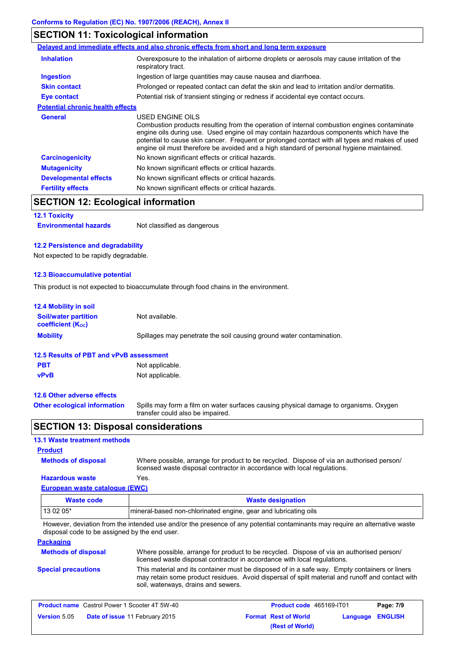# **SECTION 11: Toxicological information**

|                                         | Delayed and immediate effects and also chronic effects from short and long term exposure                                                                                                                                                                                                                                                                                                                 |
|-----------------------------------------|----------------------------------------------------------------------------------------------------------------------------------------------------------------------------------------------------------------------------------------------------------------------------------------------------------------------------------------------------------------------------------------------------------|
| <b>Inhalation</b>                       | Overexposure to the inhalation of airborne droplets or aerosols may cause irritation of the<br>respiratory tract.                                                                                                                                                                                                                                                                                        |
| Ingestion                               | Ingestion of large quantities may cause nausea and diarrhoea.                                                                                                                                                                                                                                                                                                                                            |
| <b>Skin contact</b>                     | Prolonged or repeated contact can defat the skin and lead to irritation and/or dermatitis.                                                                                                                                                                                                                                                                                                               |
| <b>Eye contact</b>                      | Potential risk of transient stinging or redness if accidental eye contact occurs.                                                                                                                                                                                                                                                                                                                        |
| <b>Potential chronic health effects</b> |                                                                                                                                                                                                                                                                                                                                                                                                          |
| <b>General</b>                          | USED ENGINE OILS<br>Combustion products resulting from the operation of internal combustion engines contaminate<br>engine oils during use. Used engine oil may contain hazardous components which have the<br>potential to cause skin cancer. Frequent or prolonged contact with all types and makes of used<br>engine oil must therefore be avoided and a high standard of personal hygiene maintained. |
| <b>Carcinogenicity</b>                  | No known significant effects or critical hazards.                                                                                                                                                                                                                                                                                                                                                        |
| <b>Mutagenicity</b>                     | No known significant effects or critical hazards.                                                                                                                                                                                                                                                                                                                                                        |
| <b>Developmental effects</b>            | No known significant effects or critical hazards.                                                                                                                                                                                                                                                                                                                                                        |
| <b>Fertility effects</b>                | No known significant effects or critical hazards.                                                                                                                                                                                                                                                                                                                                                        |

# **SECTION 12: Ecological information**

# **12.1 Toxicity**

**Environmental hazards** Not classified as dangerous

### **12.2 Persistence and degradability**

Not expected to be rapidly degradable.

## **12.3 Bioaccumulative potential**

This product is not expected to bioaccumulate through food chains in the environment.

| <b>12.4 Mobility in soil</b>                                         |                                                                                                                           |  |  |
|----------------------------------------------------------------------|---------------------------------------------------------------------------------------------------------------------------|--|--|
| <b>Soil/water partition</b><br><b>coefficient</b> (K <sub>oc</sub> ) | Not available.                                                                                                            |  |  |
| <b>Mobility</b>                                                      | Spillages may penetrate the soil causing ground water contamination.                                                      |  |  |
| 12.5 Results of PBT and vPvB assessment                              |                                                                                                                           |  |  |
| <b>PBT</b>                                                           | Not applicable.                                                                                                           |  |  |
| <b>vPvB</b>                                                          | Not applicable.                                                                                                           |  |  |
| 12.6 Other adverse effects                                           |                                                                                                                           |  |  |
| <b>Other ecological information</b>                                  | Spills may form a film on water surfaces causing physical damage to organisms. Oxygen<br>transfer could also be impaired. |  |  |

# **SECTION 13: Disposal considerations**

# **13.1 Waste treatment methods**

# **Product**

**Methods of disposal**

Where possible, arrange for product to be recycled. Dispose of via an authorised person/ licensed waste disposal contractor in accordance with local regulations.

# **European waste catalogue (EWC) Hazardous waste** Yes.

| Waste code | <b>Waste designation</b>                                        |  |
|------------|-----------------------------------------------------------------|--|
| 13 02 05*  | mineral-based non-chlorinated engine, gear and lubricating oils |  |

However, deviation from the intended use and/or the presence of any potential contaminants may require an alternative waste disposal code to be assigned by the end user.

## **Packaging**

| <b>Methods of disposal</b> | Where possible, arrange for product to be recycled. Dispose of via an authorised person/<br>licensed waste disposal contractor in accordance with local regulations.                                                                    |
|----------------------------|-----------------------------------------------------------------------------------------------------------------------------------------------------------------------------------------------------------------------------------------|
| <b>Special precautions</b> | This material and its container must be disposed of in a safe way. Empty containers or liners<br>may retain some product residues. Avoid dispersal of spilt material and runoff and contact with<br>soil, waterways, drains and sewers. |

| <b>Product name</b> Castrol Power 1 Scooter 4T 5W-40 |                                       | <b>Product code</b> 465169-IT01 |                             | Page: 7/9               |  |
|------------------------------------------------------|---------------------------------------|---------------------------------|-----------------------------|-------------------------|--|
| <b>Version 5.05</b>                                  | <b>Date of issue 11 February 2015</b> |                                 | <b>Format Rest of World</b> | <b>Language ENGLISH</b> |  |
|                                                      |                                       |                                 | (Rest of World)             |                         |  |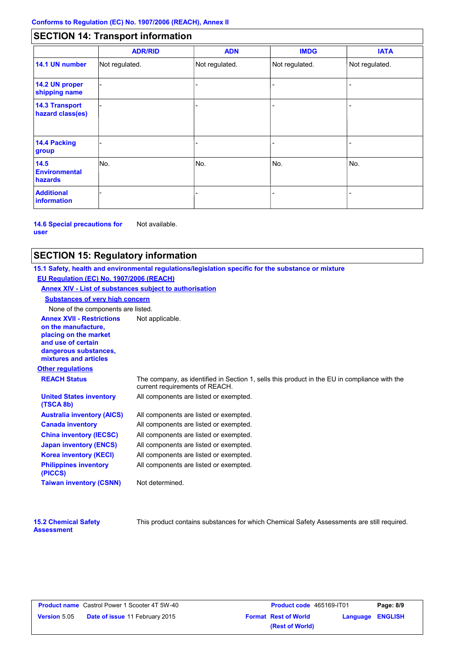# **SECTION 14: Transport information**

|                                           | <b>ADR/RID</b> | <b>ADN</b>     | <b>IMDG</b>    | <b>IATA</b>    |
|-------------------------------------------|----------------|----------------|----------------|----------------|
| 14.1 UN number                            | Not regulated. | Not regulated. | Not regulated. | Not regulated. |
| 14.2 UN proper<br>shipping name           |                |                |                |                |
| <b>14.3 Transport</b><br>hazard class(es) |                |                |                |                |
| <b>14.4 Packing</b><br>group              |                |                |                |                |
| 14.5<br><b>Environmental</b><br>hazards   | No.            | No.            | No.            | No.            |
| <b>Additional</b><br><b>information</b>   |                |                |                |                |

**14.6 Special precautions for user** Not available.

# **SECTION 15: Regulatory information**

**Other regulations Annex XVII - Restrictions** Not applicable. **on the manufacture, placing on the market and use of certain dangerous substances, mixtures and articles REACH Status** The company, as identified in Section 1, sells this product in the EU in compliance with the current requirements of REACH. **15.1 Safety, health and environmental regulations/legislation specific for the substance or mixture EU Regulation (EC) No. 1907/2006 (REACH) Annex XIV - List of substances subject to authorisation Substances of very high concern** None of the components are listed. All components are listed or exempted. All components are listed or exempted. All components are listed or exempted. All components are listed or exempted. All components are listed or exempted. All components are listed or exempted. All components are listed or exempted. **United States inventory (TSCA 8b) Australia inventory (AICS) Canada inventory China inventory (IECSC) Japan inventory (ENCS) Korea inventory (KECI) Philippines inventory (PICCS) Taiwan inventory (CSNN)** Not determined.

| <b>15.2 Chemical Safety</b> |  |
|-----------------------------|--|
| <b>Assessment</b>           |  |

This product contains substances for which Chemical Safety Assessments are still required.